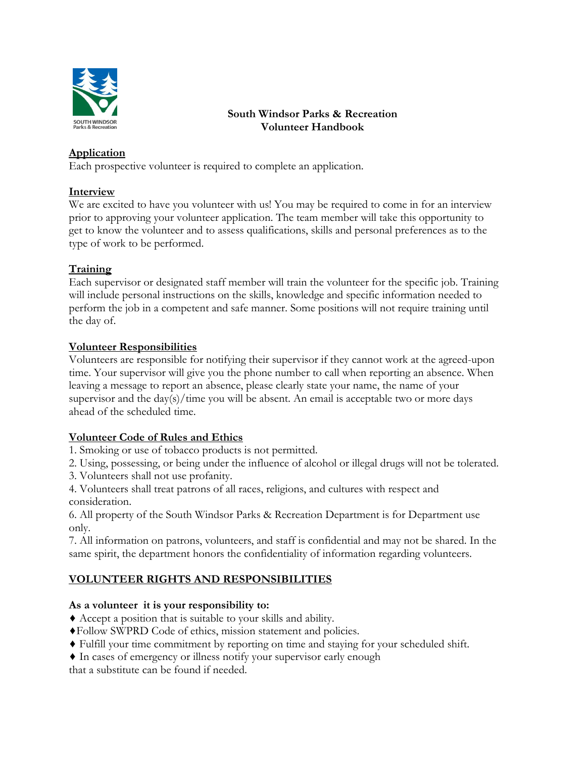

# **South Windsor Parks & Recreation Volunteer Handbook**

### **Application**

Each prospective volunteer is required to complete an application.

#### **Interview**

We are excited to have you volunteer with us! You may be required to come in for an interview prior to approving your volunteer application. The team member will take this opportunity to get to know the volunteer and to assess qualifications, skills and personal preferences as to the type of work to be performed.

# **Training**

Each supervisor or designated staff member will train the volunteer for the specific job. Training will include personal instructions on the skills, knowledge and specific information needed to perform the job in a competent and safe manner. Some positions will not require training until the day of.

### **Volunteer Responsibilities**

Volunteers are responsible for notifying their supervisor if they cannot work at the agreed-upon time. Your supervisor will give you the phone number to call when reporting an absence. When leaving a message to report an absence, please clearly state your name, the name of your supervisor and the  $day(s)/time$  you will be absent. An email is acceptable two or more days ahead of the scheduled time.

# **Volunteer Code of Rules and Ethics**

- 1. Smoking or use of tobacco products is not permitted.
- 2. Using, possessing, or being under the influence of alcohol or illegal drugs will not be tolerated.
- 3. Volunteers shall not use profanity.
- 4. Volunteers shall treat patrons of all races, religions, and cultures with respect and consideration.

6. All property of the South Windsor Parks & Recreation Department is for Department use only.

7. All information on patrons, volunteers, and staff is confidential and may not be shared. In the same spirit, the department honors the confidentiality of information regarding volunteers.

# **VOLUNTEER RIGHTS AND RESPONSIBILITIES**

#### **As a volunteer it is your responsibility to:**

- ♦ Accept a position that is suitable to your skills and ability.
- ♦Follow SWPRD Code of ethics, mission statement and policies.
- ♦ Fulfill your time commitment by reporting on time and staying for your scheduled shift.
- ♦ In cases of emergency or illness notify your supervisor early enough

that a substitute can be found if needed.